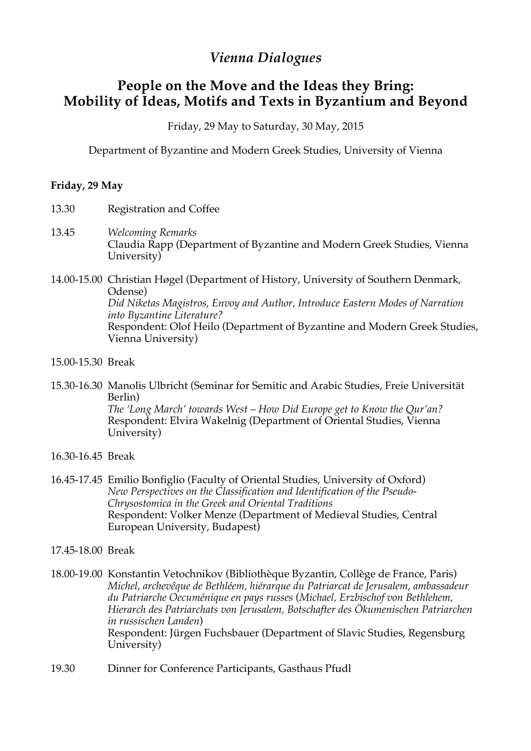## *Vienna Dialogues*

## **People on the Move and the Ideas they Bring: Mobility of Ideas, Motifs and Texts in Byzantium and Beyond**

Friday, 29 May to Saturday, 30 May, 2015

Department of Byzantine and Modern Greek Studies, University of Vienna

## **Friday, 29 May**

- 13.30 Registration and Coffee
- 13.45 *Welcoming Remarks* Claudia Rapp (Department of Byzantine and Modern Greek Studies, Vienna University)
- 14.00-15.00 Christian Høgel (Department of History, University of Southern Denmark, Odense) *Did Niketas Magistros, Envoy and Author, Introduce Eastern Modes of Narration into Byzantine Literature?* Respondent: Olof Heilo (Department of Byzantine and Modern Greek Studies, Vienna University)
- 15.00-15.30 Break
- 15.30-16.30 Manolis Ulbricht (Seminar for Semitic and Arabic Studies, Freie Universität Berlin) *The 'Long March' towards West – How Did Europe get to Know the Qur'an?* Respondent: Elvira Wakelnig (Department of Oriental Studies, Vienna University)
- 16.30-16.45 Break
- 16.45-17.45 Emilio Bonfiglio (Faculty of Oriental Studies, University of Oxford) *New Perspectives on the Classification and Identification of the Pseudo-Chrysostomica in the Greek and Oriental Traditions* Respondent: Volker Menze (Department of Medieval Studies, Central European University, Budapest)
- 17.45-18.00 Break
- 18.00-19.00 Konstantin Vetochnikov (Bibliothèque Byzantin, Collège de France, Paris) *Michel, archevêque de Bethléem, hiérarque du Patriarcat de Jerusalem, ambassadeur du Patriarche Oecuménique en pays russes* (*Michael, Erzbischof von Bethlehem, Hierarch des Patriarchats von Jerusalem, Botschafter des Ökumenischen Patriarchen in russischen Landen*) Respondent: Jürgen Fuchsbauer (Department of Slavic Studies, Regensburg University)
- 19.30 Dinner for Conference Participants, Gasthaus Pfudl